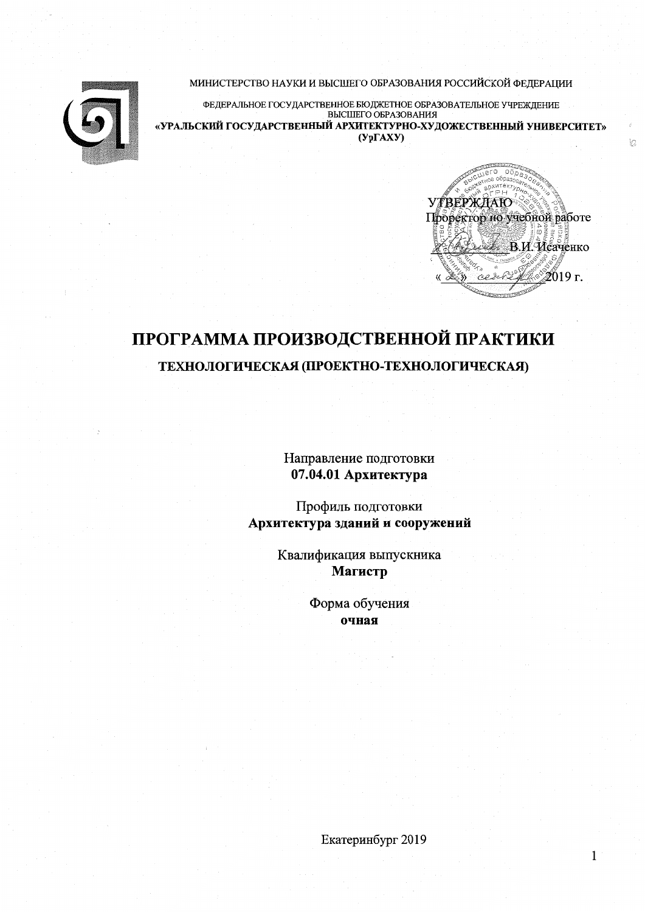МИНИСТЕРСТВО НАУКИ И ВЫСШЕГО ОБРАЗОВАНИЯ РОССИЙСКОЙ ФЕДЕРАЦИИ



ФЕДЕРАЛЬНОЕ ГОСУДАРСТВЕННОЕ БЮДЖЕТНОЕ ОБРАЗОВАТЕЛЬНОЕ УЧРЕЖДЕНИЕ «УРАЛЬСКИЙ ГОСУДАРСТВЕННЫЙ АРХИТЕКТУРНО-ХУДОЖЕСТВЕННЫЙ УНИВЕРСИТЕТ»  $(Yp\Gamma A X Y)$ 



 $\overleftrightarrow{\Omega}$ 

 $\mathbf 1$ 

# ПРОГРАММА ПРОИЗВОДСТВЕННОЙ ПРАКТИКИ ТЕХНОЛОГИЧЕСКАЯ (ПРОЕКТНО-ТЕХНОЛОГИЧЕСКАЯ)

Направление подготовки 07.04.01 Архитектура

Профиль подготовки Архитектура зданий и сооружений

> Квалификация выпускника Магистр

> > Форма обучения очная

> > > Екатеринбург 2019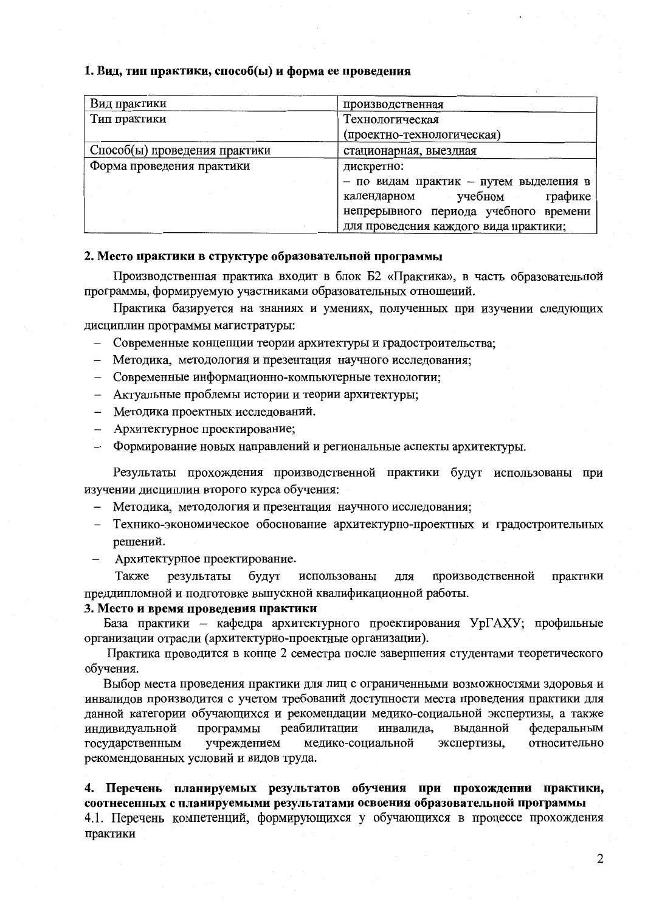### 1. Вид, тип практики, способ(ы) и форма ее проведения

| Вид практики                  | производственная                       |  |  |  |
|-------------------------------|----------------------------------------|--|--|--|
| Тип практики                  | Технологическая                        |  |  |  |
|                               | (проектно-технологическая)             |  |  |  |
| Способ(ы) проведения практики | стационарная, выездная                 |  |  |  |
| Форма проведения практики     | дискретно:                             |  |  |  |
|                               | - по видам практик - путем выделения в |  |  |  |
|                               | учебном<br>графике<br>календарном      |  |  |  |
|                               | непрерывного периода учебного времени  |  |  |  |
|                               | для проведения каждого вида практики;  |  |  |  |

### 2. Место практики в структуре образовательной программы

Производственная практика входит в блок Б2 «Практика», в часть образовательной программы, формируемую участниками образовательных отношений.

Практика базируется на знаниях и умениях, полученных при изучении следующих дисциплин программы магистратуры:

- Современные концепции теории архитектуры и градостроительства;
- Методика, методология и презентация научного исследования;  $\,$
- Современные информационно-компьютерные технологии;
- Актуальные проблемы истории и теории архитектуры;
- Методика проектных исследований.
- Архитектурное проектирование;
- Формирование новых направлений и региональные аспекты архитектуры.

Результаты прохождения производственной практики будут использованы при изучении лисциплин второго курса обучения:

- Методика, методология и презентация научного исследования;
- Технико-экономическое обоснование архитектурно-проектных и градостроительных решений.
- Архитектурное проектирование.

Также результаты будут использованы для производственной практики преддипломной и подготовке выпускной квалификационной работы.

### 3. Место и время проведения практики

База практики - кафедра архитектурного проектирования УрГАХУ; профильные организации отрасли (архитектурно-проектные организации).

Практика проводится в конце 2 семестра после завершения студентами теоретического обучения.

Выбор места проведения практики для лиц с ограниченными возможностями здоровья и инвалидов производится с учетом требований доступности места проведения практики для данной категории обучающихся и рекомендации медико-социальной экспертизы, а также индивидуальной программы реабилитации инвалида, выланной федеральным государственным учреждением медико-социальной экспертизы, относительно рекомендованных условий и видов труда.

### 4. Перечень планируемых результатов обучения при прохождении практики, соотнесенных с планируемыми результатами освоения образовательной программы

4.1. Перечень компетенций, формирующихся у обучающихся в процессе прохождения практики

 $\overline{2}$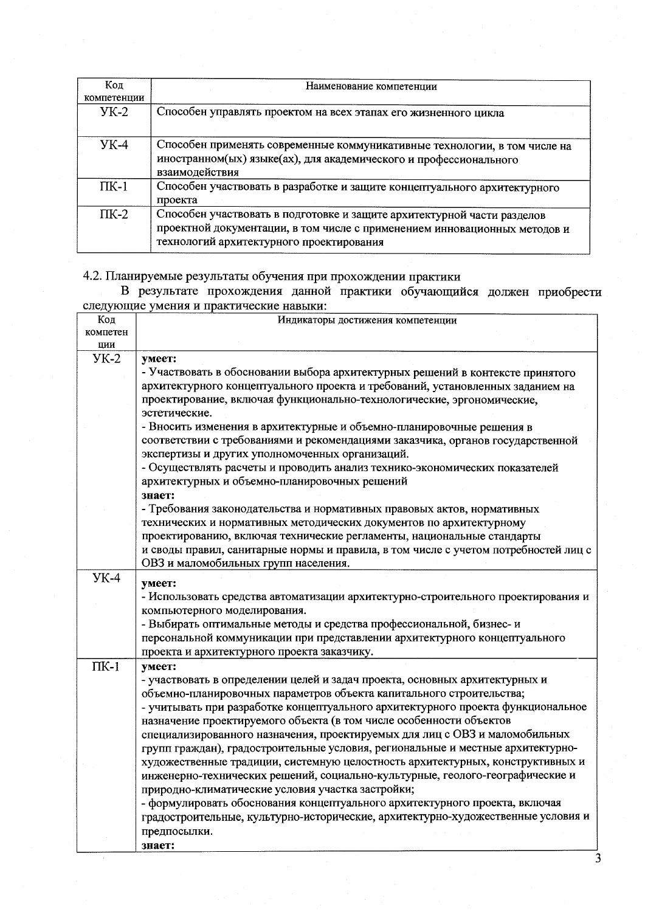| Код<br>компетенции | Наименование компетенции                                                                                                                                                                         |
|--------------------|--------------------------------------------------------------------------------------------------------------------------------------------------------------------------------------------------|
| $YK-2$             | Способен управлять проектом на всех этапах его жизненного цикла                                                                                                                                  |
| $YK-4$             | Способен применять современные коммуникативные технологии, в том числе на<br>иностранном(ых) языке(ах), для академического и профессионального<br>взаимодействия                                 |
| $\Pi K-1$          | Способен участвовать в разработке и защите концептуального архитектурного<br>проекта                                                                                                             |
| $\Pi K-2$          | Способен участвовать в подготовке и защите архитектурной части разделов<br>проектной документации, в том числе с применением инновационных методов и<br>технологий архитектурного проектирования |

4.2. Планируемые результаты обучения при прохождении практики<br>В результате прохождения данной практики обучающийся должен приобрести<br>следующие умения и практические навыки:

| Код         | Индикаторы достижения компетенции                                                                                 |
|-------------|-------------------------------------------------------------------------------------------------------------------|
| компетен    |                                                                                                                   |
| ЦИИ         |                                                                                                                   |
| $YK-2$      | умеет:                                                                                                            |
|             | - Участвовать в обосновании выбора архитектурных решений в контексте принятого                                    |
|             | архитектурного концептуального проекта и требований, установленных заданием на                                    |
|             | проектирование, включая функционально-технологические, эргономические,                                            |
|             | эстетические.                                                                                                     |
|             | - Вносить изменения в архитектурные и объемно-планировочные решения в                                             |
|             | соответствии с требованиями и рекомендациями заказчика, органов государственной                                   |
|             | экспертизы и других уполномоченных организаций.                                                                   |
|             | - Осуществлять расчеты и проводить анализ технико-экономических показателей                                       |
|             | архитектурных и объемно-планировочных решений                                                                     |
|             | знает:                                                                                                            |
|             | - Требования законодательства и нормативных правовых актов, нормативных                                           |
|             | технических и нормативных методических документов по архитектурному                                               |
|             | проектированию, включая технические регламенты, национальные стандарты                                            |
|             | и своды правил, санитарные нормы и правила, в том числе с учетом потребностей лиц с                               |
|             | ОВЗ и маломобильных групп населения.                                                                              |
| <b>YK-4</b> |                                                                                                                   |
|             | умеет:                                                                                                            |
|             | - Использовать средства автоматизации архитектурно-строительного проектирования и<br>компьютерного моделирования. |
|             | - Выбирать оптимальные методы и средства профессиональной, бизнес- и                                              |
|             |                                                                                                                   |
|             | персональной коммуникации при представлении архитектурного концептуального                                        |
|             | проекта и архитектурного проекта заказчику.                                                                       |
| $\Pi K-1$   | умеет:                                                                                                            |
|             | - участвовать в определении целей и задач проекта, основных архитектурных и                                       |
|             | объемно-планировочных параметров объекта капитального строительства;                                              |
|             | - учитывать при разработке концептуального архитектурного проекта функциональное                                  |
|             | назначение проектируемого объекта (в том числе особенности объектов                                               |
|             | специализированного назначения, проектируемых для лиц с ОВЗ и маломобильных                                       |
|             | групп граждан), градостроительные условия, региональные и местные архитектурно-                                   |
|             | художественные традиции, системную целостность архитектурных, конструктивных и                                    |
|             | инженерно-технических решений, социально-культурные, геолого-географические и                                     |
|             | природно-климатические условия участка застройки;                                                                 |
|             | - формулировать обоснования концептуального архитектурного проекта, включая                                       |
|             | градостроительные, культурно-исторические, архитектурно-художественные условия и                                  |
|             | предпосылки.                                                                                                      |
|             | знает:                                                                                                            |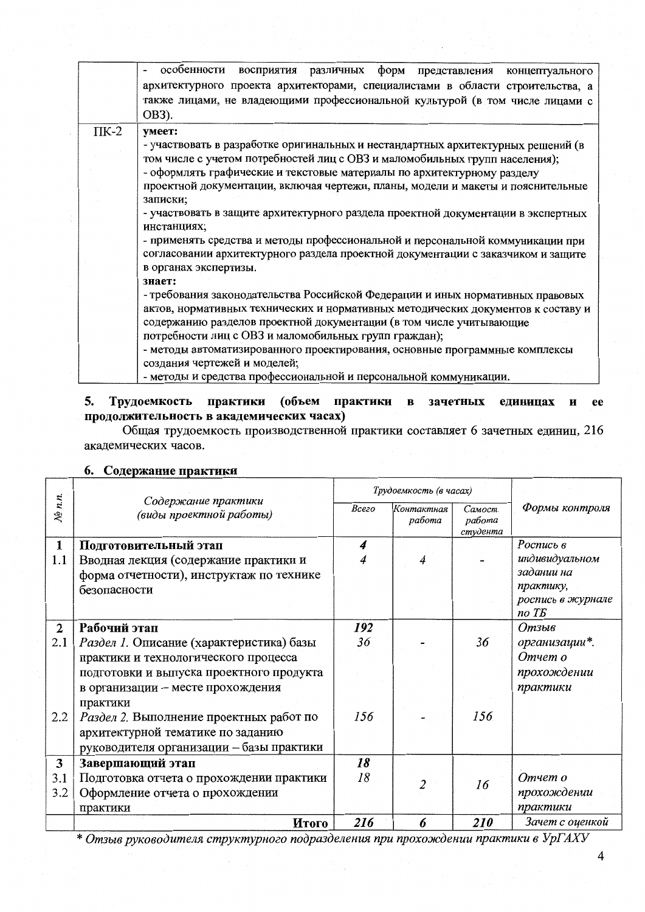|           | особенности восприятия различных форм представления концептуального               |  |  |  |
|-----------|-----------------------------------------------------------------------------------|--|--|--|
|           | архитектурного проекта архитекторами, специалистами в области строительства, а    |  |  |  |
|           | также лицами, не владеющими профессиональной культурой (в том числе лицами с      |  |  |  |
|           | OB3).                                                                             |  |  |  |
| $\Pi K-2$ | умеет:                                                                            |  |  |  |
|           | - участвовать в разработке оригинальных и нестандартных архитектурных решений (в  |  |  |  |
|           | том числе с учетом потребностей лиц с ОВЗ и маломобильных групп населения);       |  |  |  |
|           | - оформлять графические и текстовые материалы по архитектурному разделу           |  |  |  |
|           | проектной документации, включая чертежи, планы, модели и макеты и пояснительные   |  |  |  |
|           | записки;                                                                          |  |  |  |
|           | - участвовать в защите архитектурного раздела проектной документации в экспертных |  |  |  |
|           | инстанциях;                                                                       |  |  |  |
|           | - применять средства и методы профессиональной и персональной коммуникации при    |  |  |  |
|           | согласовании архитектурного раздела проектной документации с заказчиком и защите  |  |  |  |
|           | в органах экспертизы.                                                             |  |  |  |
|           | знает:                                                                            |  |  |  |
|           | - требования законодательства Российской Федерации и иных нормативных правовых    |  |  |  |
|           | актов, нормативных технических и нормативных методических документов к составу и  |  |  |  |
|           | содержанию разделов проектной документации (в том числе учитывающие               |  |  |  |
|           | потребности лиц с ОВЗ и маломобильных групп граждан);                             |  |  |  |
|           | - методы автоматизированного проектирования, основные программные комплексы       |  |  |  |
|           | создания чертежей и моделей;                                                      |  |  |  |
|           | - методы и средства профессиональной и персональной коммуникации.                 |  |  |  |

### 5. Трудоемкость практики (объем практики в зачетных единицах и ee продолжительность в академических часах)

Общая трудоемкость производственной практики составляет 6 зачетных единиц, 216 академических часов.

|                |                                                | Трудоемкость (в часах) |                      |                               |                   |
|----------------|------------------------------------------------|------------------------|----------------------|-------------------------------|-------------------|
| $N_2$ n.n.     | Содержание практики<br>(виды проектной работы) | Bcezo                  | Контактная<br>работа | Самост.<br>работа<br>студента | Формы контроля    |
| 1              | Подготовительный этап                          | 4                      |                      |                               | Роспись в         |
| 1.1            | Вводная лекция (содержание практики и          |                        |                      |                               | индивидуальном    |
|                | форма отчетности), инструктаж по технике       |                        |                      |                               | задании на        |
|                | безопасности                                   |                        |                      |                               | практику,         |
|                |                                                |                        |                      |                               | роспись в журнале |
|                |                                                |                        |                      |                               | no T <sub>B</sub> |
| $\overline{2}$ | Рабочий этап                                   | 192                    |                      |                               | Отзыв             |
| 2.1            | Раздел 1. Описание (характеристика) базы       | 36                     |                      | 36                            | организации*.     |
|                | практики и технологического процесса           |                        |                      |                               | Отчет о           |
|                | подготовки и выпуска проектного продукта       |                        |                      |                               | прохождении       |
|                | в организации - месте прохождения              |                        |                      |                               | практики          |
|                | практики                                       |                        |                      |                               |                   |
| 2.2            | Раздел 2. Выполнение проектных работ по        | 156                    |                      | 156                           |                   |
|                | архитектурной тематике по заданию              |                        |                      |                               |                   |
|                | руководителя организации - базы практики       |                        |                      |                               |                   |
| 3              | Завершающий этап                               | 18                     |                      |                               |                   |
| 3.1            | Подготовка отчета о прохождении практики       | 18                     |                      |                               | Отчет о           |
| 3.2            | Оформление отчета о прохождении                |                        | 2                    | 16                            | прохождении       |
|                | практики                                       |                        |                      |                               | практики          |
|                | Итого                                          | 216                    | 6                    | <b>210</b>                    | Зачет с оценкой   |

6. Содержание практики

\* Отзыв руководителя структурного подразделения при прохождении практики в УрГАХУ

 $\overline{4}$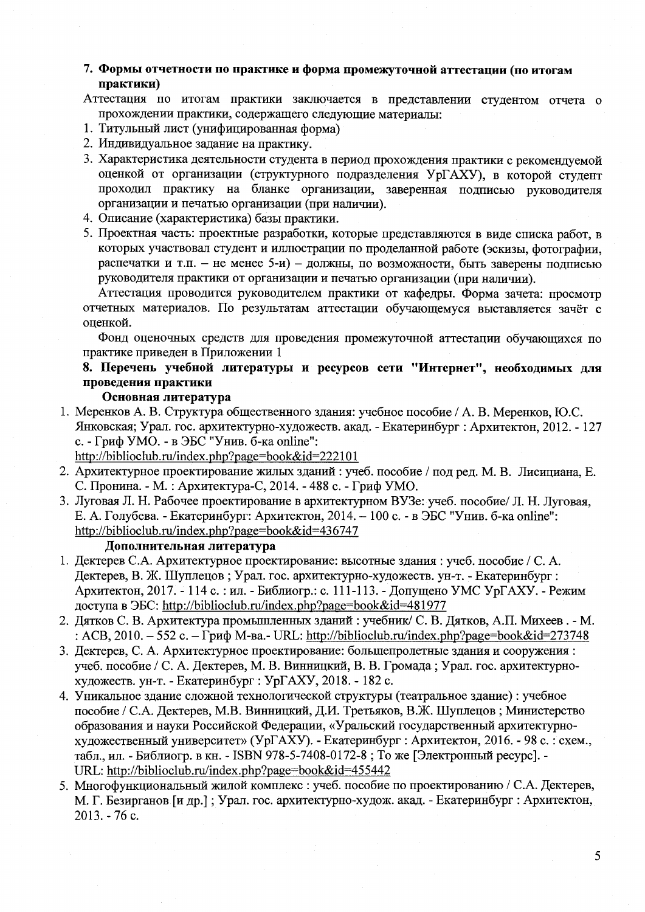7. Формы отчетности по практике и форма промежуточной аттестации (по итогам практики)

Аттестация по итогам практики заключается в представлении студентом отчета о прохождении практики, содержащего следующие материалы:

- 1. Титульный лист (унифицированная форма)
- 2. Индивидуальное задание на практику.
- 3. Характеристика деятельности студента в период прохождения практики с рекомендуемой оценкой от организации (структурного подразделения УрГАХУ), в которой студент проходил практику на бланке организации, заверенная подписью руководителя организации и печатью организации (при наличии).
- 4. Описание (характеристика) базы практики.
- 5. Проектная часть: проектные разработки, которые представляются в виде списка работ, в которых участвовал студент и иллюстрации по проделанной работе (эскизы, фотографии, распечатки и т.п. - не менее 5-и) - должны, по возможности, быть заверены полнисью руководителя практики от организации и печатью организации (при наличии).

Аттестация проводится руководителем практики от кафедры. Форма зачета: просмотр отчетных материалов. По результатам аттестации обучающемуся выставляется зачёт с оценкой.

Фонд оценочных средств для проведения промежуточной аттестации обучающихся по практике приведен в Приложении 1

## 8. Перечень учебной литературы и ресурсов сети "Интернет", необходимых для проведения практики

### Основная литература

1. Меренков А. В. Структура общественного здания: учебное пособие / А. В. Меренков, Ю.С. Янковская; Урал. гос. архитектурно-художеств. акад. - Екатеринбург : Архитектон, 2012. - 127 с. - Гриф УМО. - в ЭБС "Унив. б-ка online":

http://biblioclub.ru/index.php?page=book&id=222101

- 2. Архитектурное проектирование жилых зданий: учеб. пособие / под ред. М. В. Лисициана, Е. С. Пронина. - М.: Архитектура-С, 2014. - 488 с. - Гриф УМО.
- 3. Луговая Л. Н. Рабочее проектирование в архитектурном ВУЗе: учеб. пособие/ Л. Н. Луговая, Е. А. Голубева. - Екатеринбург: Архитектон, 2014. - 100 с. - в ЭБС "Унив. б-ка online": http://biblioclub.ru/index.php?page=book&id=436747

### Дополнительная литература

- 1. Дектерев С.А. Архитектурное проектирование: высотные здания: учеб. пособие / С.А. Дектерев, В. Ж. Шуплецов; Урал. гос. архитектурно-художеств. ун-т. - Екатеринбург; Архитектон, 2017. - 114 с. : ил. - Библиогр.: с. 111-113. - Допущено УМС УрГАХУ. - Режим доступа в ЭБС: http://biblioclub.ru/index.php?page=book&id=481977
- 2. Дятков С. В. Архитектура промышленных зданий: учебник/ С. В. Дятков, А.П. Михеев. М. : ACB,  $2010. -552$  c.  $\Gamma$ pu $\phi$  M-Ba.- URL: http://biblioclub.ru/index.php?page=book&id=273748
- 3. Дектерев, С. А. Архитектурное проектирование: большепролетные здания и сооружения: учеб. пособие / С. А. Дектерев, М. В. Винницкий, В. В. Громада; Урал. гос. архитектурнохудожеств. ун-т. - Екатеринбург : УрГАХУ, 2018. - 182 с.
- 4. Уникальное здание сложной технологической структуры (театральное здание) : учебное пособие / С.А. Дектерев, М.В. Винницкий, Д.И. Третьяков, В.Ж. Шуплецов; Министерство образования и науки Российской Федерации, «Уральский государственный архитектурнохудожественный университет» (УрГАХУ). - Екатеринбург : Архитектон, 2016. - 98 с. : схем., табл., ил. - Библиогр. в кн. - ISBN 978-5-7408-0172-8; То же [Электронный ресурс]. -URL: http://biblioclub.ru/index.php?page=book&id=455442
- 5. Многофункциональный жилой комплекс : учеб. пособие по проектированию / С.А. Дектерев. М. Г. Безирганов [и др.]: Урал. гос. архитектурно-худож. акад. - Екатеринбург: Архитектон,  $2013. - 76$  c.